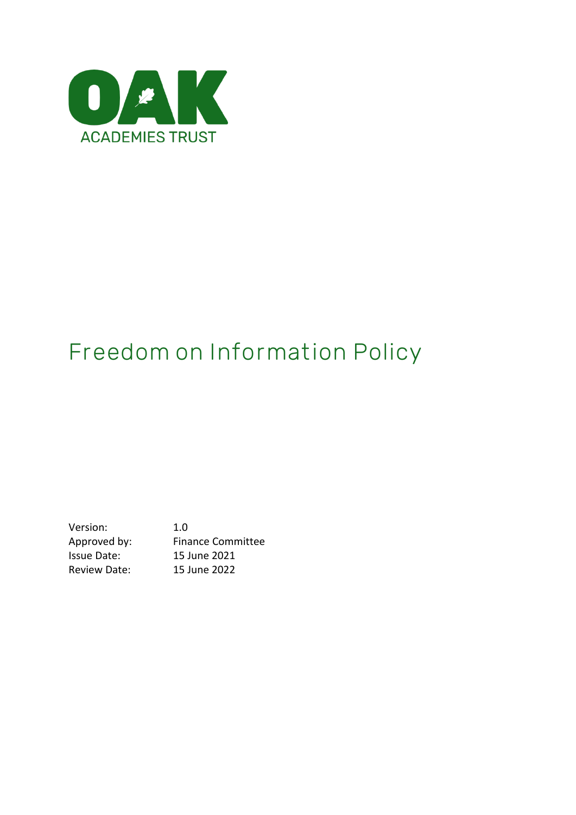

# **Freedom on Information Policy**

Version: 1.0 Approved by: Finance Committee Issue Date: 15 June 2021 Review Date: 15 June 2022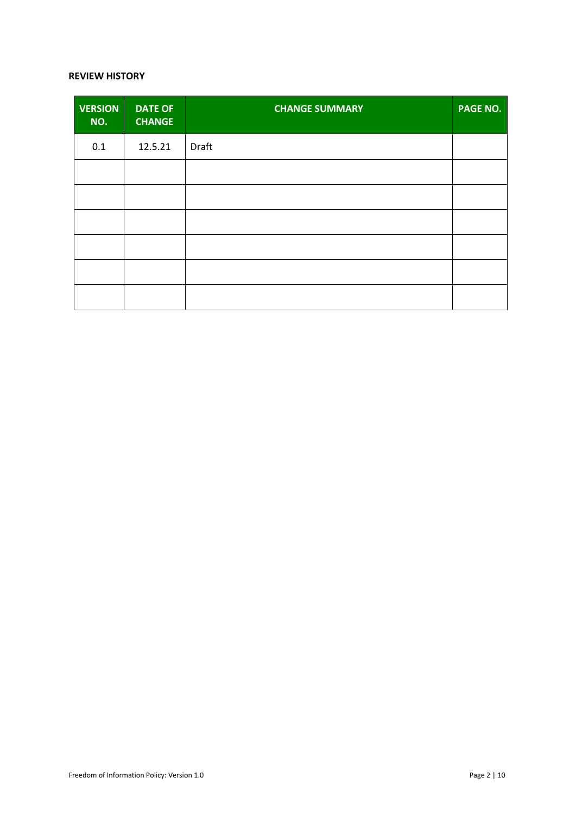#### **REVIEW HISTORY**

| <b>VERSION</b><br>NO. | <b>DATE OF</b><br><b>CHANGE</b> | <b>CHANGE SUMMARY</b> | <b>PAGE NO.</b> |
|-----------------------|---------------------------------|-----------------------|-----------------|
| 0.1                   | 12.5.21                         | Draft                 |                 |
|                       |                                 |                       |                 |
|                       |                                 |                       |                 |
|                       |                                 |                       |                 |
|                       |                                 |                       |                 |
|                       |                                 |                       |                 |
|                       |                                 |                       |                 |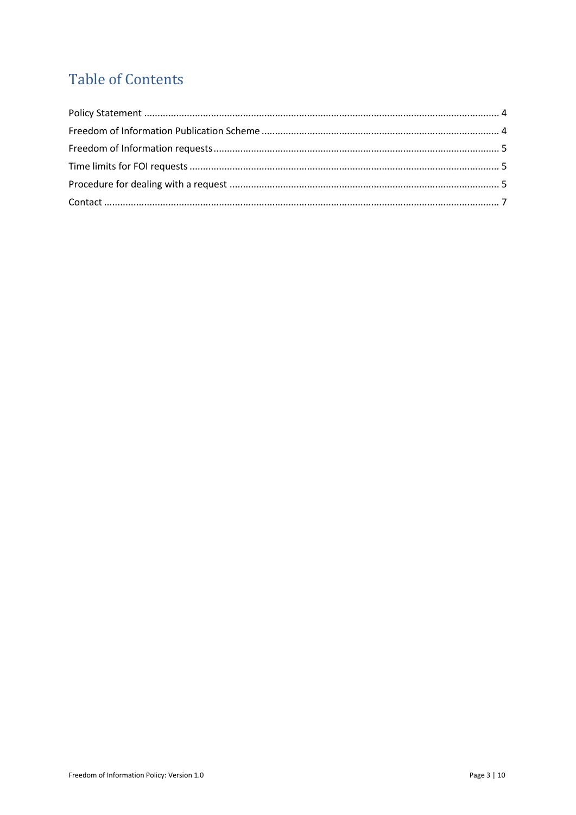# **Table of Contents**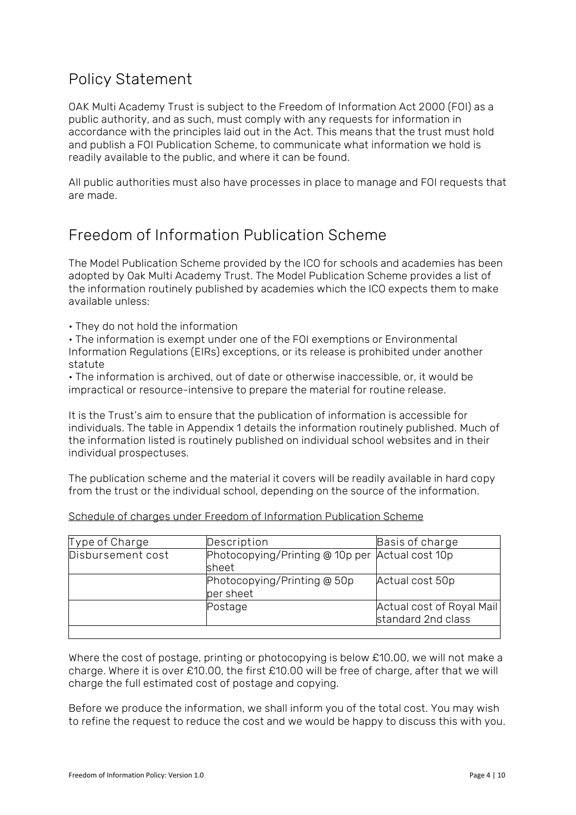### <span id="page-3-0"></span>Policy Statement

OAK Multi Academy Trust is subject to the Freedom of Information Act 2000 (FOI) as a public authority, and as such, must comply with any requests for information in accordance with the principles laid out in the Act. This means that the trust must hold and publish a FOI Publication Scheme, to communicate what information we hold is readily available to the public, and where it can be found.

All public authorities must also have processes in place to manage and FOI requests that are made.

### <span id="page-3-1"></span>Freedom of Information Publication Scheme

The Model Publication Scheme provided by the ICO for schools and academies has been adopted by Oak Multi Academy Trust. The Model Publication Scheme provides a list of the information routinely published by academies which the ICO expects them to make available unless:

• They do not hold the information

• The information is exempt under one of the FOI exemptions or Environmental Information Regulations (EIRs) exceptions, or its release is prohibited under another statute

• The information is archived, out of date or otherwise inaccessible, or, it would be impractical or resource-intensive to prepare the material for routine release.

It is the Trust's aim to ensure that the publication of information is accessible for individuals. The table in Appendix 1 details the information routinely published. Much of the information listed is routinely published on individual school websites and in their individual prospectuses.

The publication scheme and the material it covers will be readily available in hard copy from the trust or the individual school, depending on the source of the information.

| Type of Charge    | Description                                              | Basis of charge                                 |
|-------------------|----------------------------------------------------------|-------------------------------------------------|
| Disbursement cost | Photocopying/Printing @ 10p per Actual cost 10p<br>sheet |                                                 |
|                   | Photocopying/Printing @ 50p<br>per sheet                 | Actual cost 50p                                 |
|                   | Postage                                                  | Actual cost of Royal Mail<br>standard 2nd class |

Schedule of charges under Freedom of Information Publication Scheme

Where the cost of postage, printing or photocopying is below £10.00, we will not make a charge. Where it is over £10.00, the first £10.00 will be free of charge, after that we will charge the full estimated cost of postage and copying.

Before we produce the information, we shall inform you of the total cost. You may wish to refine the request to reduce the cost and we would be happy to discuss this with you.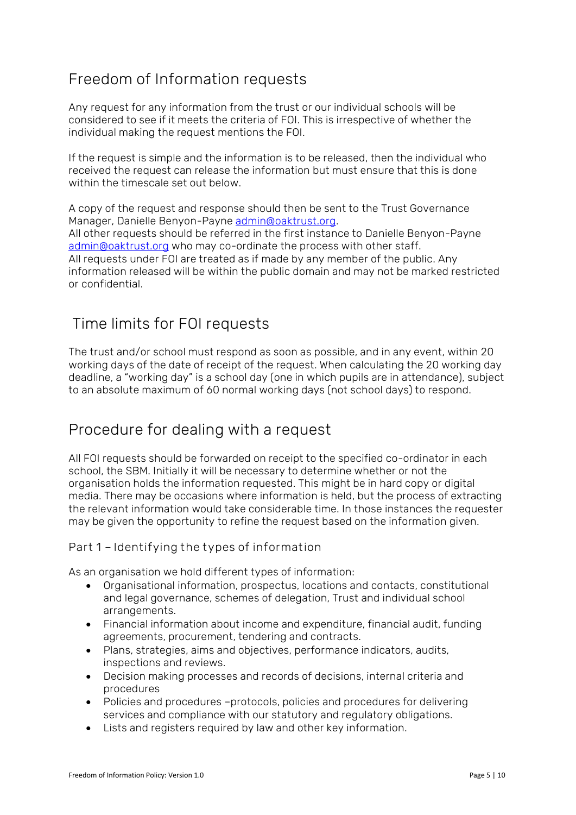## <span id="page-4-0"></span>Freedom of Information requests

Any request for any information from the trust or our individual schools will be considered to see if it meets the criteria of FOI. This is irrespective of whether the individual making the request mentions the FOI.

If the request is simple and the information is to be released, then the individual who received the request can release the information but must ensure that this is done within the timescale set out below.

A copy of the request and response should then be sent to the Trust Governance Manager, Danielle Benyon-Payne [admin@oaktrust.org.](mailto:admin@oaktrust.org) All other requests should be referred in the first instance to Danielle Benyon-Payne [admin@oaktrust.org](mailto:admin@oaktrust.org) who may co-ordinate the process with other staff. All requests under FOI are treated as if made by any member of the public. Any information released will be within the public domain and may not be marked restricted or confidential.

## <span id="page-4-1"></span>Time limits for FOI requests

The trust and/or school must respond as soon as possible, and in any event, within 20 working days of the date of receipt of the request. When calculating the 20 working day deadline, a "working day" is a school day (one in which pupils are in attendance), subject to an absolute maximum of 60 normal working days (not school days) to respond.

## <span id="page-4-2"></span>Procedure for dealing with a request

All FOI requests should be forwarded on receipt to the specified co-ordinator in each school, the SBM. Initially it will be necessary to determine whether or not the organisation holds the information requested. This might be in hard copy or digital media. There may be occasions where information is held, but the process of extracting the relevant information would take considerable time. In those instances the requester may be given the opportunity to refine the request based on the information given.

### **Part 1 – Identifying the types of information**

As an organisation we hold different types of information:

- Organisational information, prospectus, locations and contacts, constitutional and legal governance, schemes of delegation, Trust and individual school arrangements.
- Financial information about income and expenditure, financial audit, funding agreements, procurement, tendering and contracts.
- Plans, strategies, aims and objectives, performance indicators, audits, inspections and reviews.
- Decision making processes and records of decisions, internal criteria and procedures
- Policies and procedures –protocols, policies and procedures for delivering services and compliance with our statutory and regulatory obligations.
- Lists and registers required by law and other key information.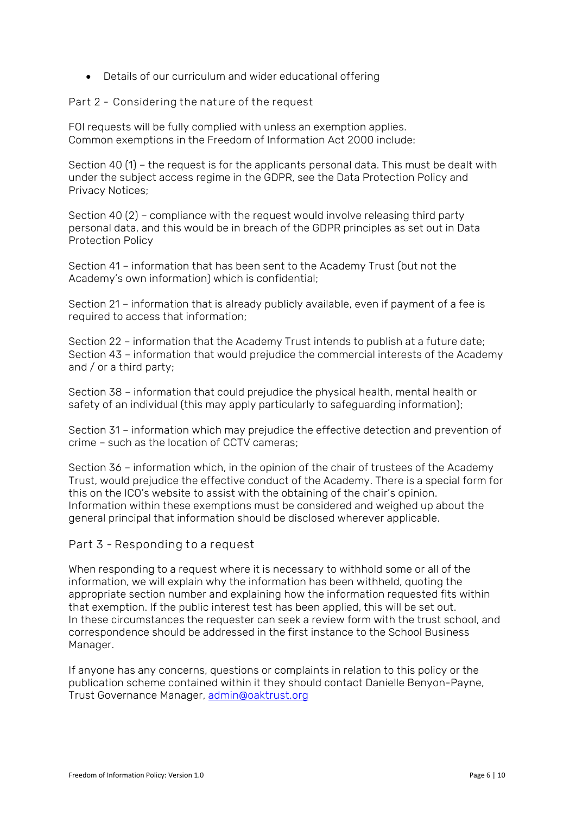• Details of our curriculum and wider educational offering

**Part 2 - Considering the nature of the request**

FOI requests will be fully complied with unless an exemption applies. Common exemptions in the Freedom of Information Act 2000 include:

Section 40 (1) – the request is for the applicants personal data. This must be dealt with under the subject access regime in the GDPR, see the Data Protection Policy and Privacy Notices;

Section 40 (2) – compliance with the request would involve releasing third party personal data, and this would be in breach of the GDPR principles as set out in Data Protection Policy

Section 41 – information that has been sent to the Academy Trust (but not the Academy's own information) which is confidential;

Section 21 – information that is already publicly available, even if payment of a fee is required to access that information;

Section 22 – information that the Academy Trust intends to publish at a future date; Section 43 – information that would prejudice the commercial interests of the Academy and / or a third party;

Section 38 – information that could prejudice the physical health, mental health or safety of an individual (this may apply particularly to safeguarding information);

Section 31 – information which may prejudice the effective detection and prevention of crime – such as the location of CCTV cameras;

Section 36 – information which, in the opinion of the chair of trustees of the Academy Trust, would prejudice the effective conduct of the Academy. There is a special form for this on the ICO's website to assist with the obtaining of the chair's opinion. Information within these exemptions must be considered and weighed up about the general principal that information should be disclosed wherever applicable.

### **Part 3 - Responding to a request**

When responding to a request where it is necessary to withhold some or all of the information, we will explain why the information has been withheld, quoting the appropriate section number and explaining how the information requested fits within that exemption. If the public interest test has been applied, this will be set out. In these circumstances the requester can seek a review form with the trust school, and correspondence should be addressed in the first instance to the School Business Manager.

If anyone has any concerns, questions or complaints in relation to this policy or the publication scheme contained within it they should contact Danielle Benyon-Payne, Trust Governance Manager, [admin@oaktrust.org](mailto:admin@oaktrust.org)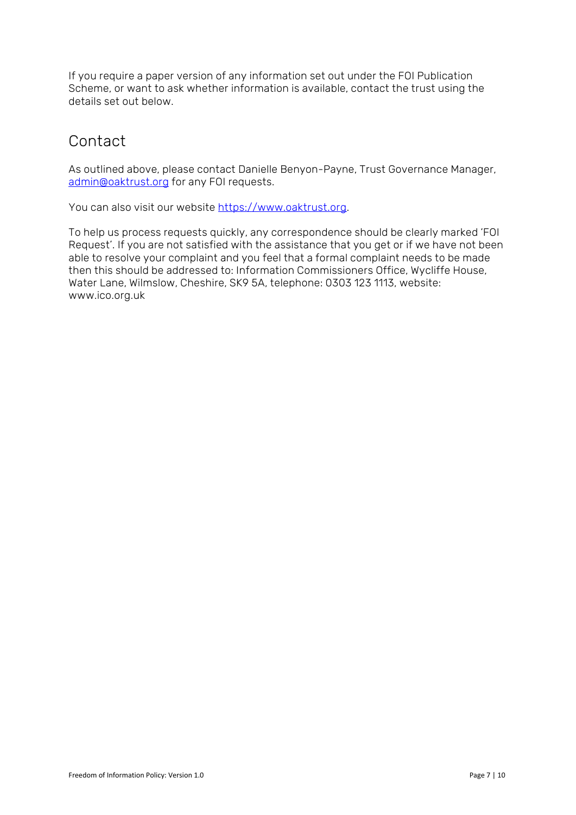If you require a paper version of any information set out under the FOI Publication Scheme, or want to ask whether information is available, contact the trust using the details set out below.

# <span id="page-6-0"></span>Contact

As outlined above, please contact Danielle Benyon-Payne, Trust Governance Manager, [admin@oaktrust.org](mailto:admin@oaktrust.org) for any FOI requests.

You can also visit our website [https://www.oaktrust.org.](https://www.oaktrust.org/)

To help us process requests quickly, any correspondence should be clearly marked 'FOI Request'. If you are not satisfied with the assistance that you get or if we have not been able to resolve your complaint and you feel that a formal complaint needs to be made then this should be addressed to: Information Commissioners Office, Wycliffe House, Water Lane, Wilmslow, Cheshire, SK9 5A, telephone: 0303 123 1113, website: www.ico.org.uk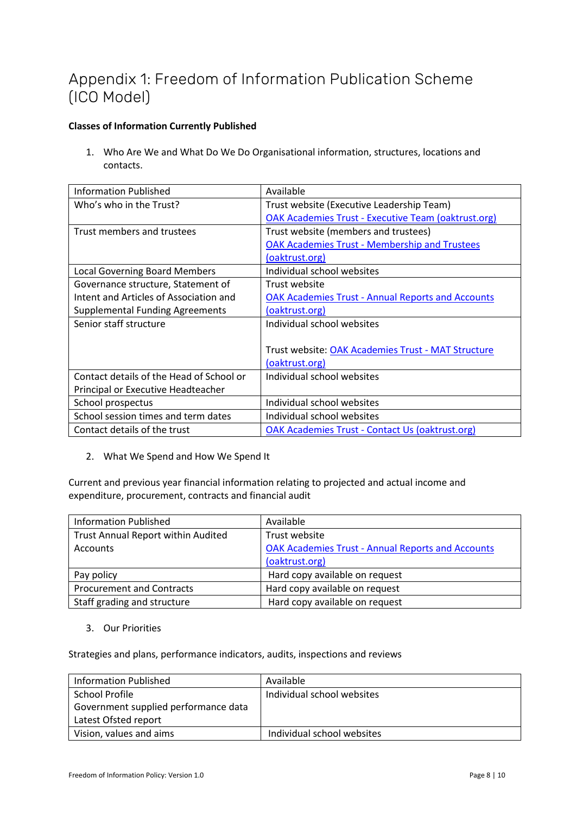# Appendix 1: Freedom of Information Publication Scheme (ICO Model)

### **Classes of Information Currently Published**

1. Who Are We and What Do We Do Organisational information, structures, locations and contacts.

| <b>Information Published</b>             | Available                                                  |
|------------------------------------------|------------------------------------------------------------|
| Who's who in the Trust?                  | Trust website (Executive Leadership Team)                  |
|                                          | <b>OAK Academies Trust - Executive Team (oaktrust.org)</b> |
| Trust members and trustees               | Trust website (members and trustees)                       |
|                                          | <b>OAK Academies Trust - Membership and Trustees</b>       |
|                                          | (oaktrust.org)                                             |
| <b>Local Governing Board Members</b>     | Individual school websites                                 |
| Governance structure, Statement of       | Trust website                                              |
| Intent and Articles of Association and   | <b>OAK Academies Trust - Annual Reports and Accounts</b>   |
| <b>Supplemental Funding Agreements</b>   | (oaktrust.org)                                             |
| Senior staff structure                   | Individual school websites                                 |
|                                          |                                                            |
|                                          | Trust website: OAK Academies Trust - MAT Structure         |
|                                          | (oaktrust.org)                                             |
| Contact details of the Head of School or | Individual school websites                                 |
| Principal or Executive Headteacher       |                                                            |
| School prospectus                        | Individual school websites                                 |
| School session times and term dates      | Individual school websites                                 |
| Contact details of the trust             | <b>OAK Academies Trust - Contact Us (oaktrust.org)</b>     |

2. What We Spend and How We Spend It

Current and previous year financial information relating to projected and actual income and expenditure, procurement, contracts and financial audit

| <b>Information Published</b>       | Available                                                |
|------------------------------------|----------------------------------------------------------|
| Trust Annual Report within Audited | Trust website                                            |
| Accounts                           | <b>OAK Academies Trust - Annual Reports and Accounts</b> |
|                                    | (oaktrust.org)                                           |
| Pay policy                         | Hard copy available on request                           |
| <b>Procurement and Contracts</b>   | Hard copy available on request                           |
| Staff grading and structure        | Hard copy available on request                           |

3. Our Priorities

Strategies and plans, performance indicators, audits, inspections and reviews

| Information Published                | Available                  |
|--------------------------------------|----------------------------|
| School Profile                       | Individual school websites |
| Government supplied performance data |                            |
| Latest Ofsted report                 |                            |
| Vision, values and aims              | Individual school websites |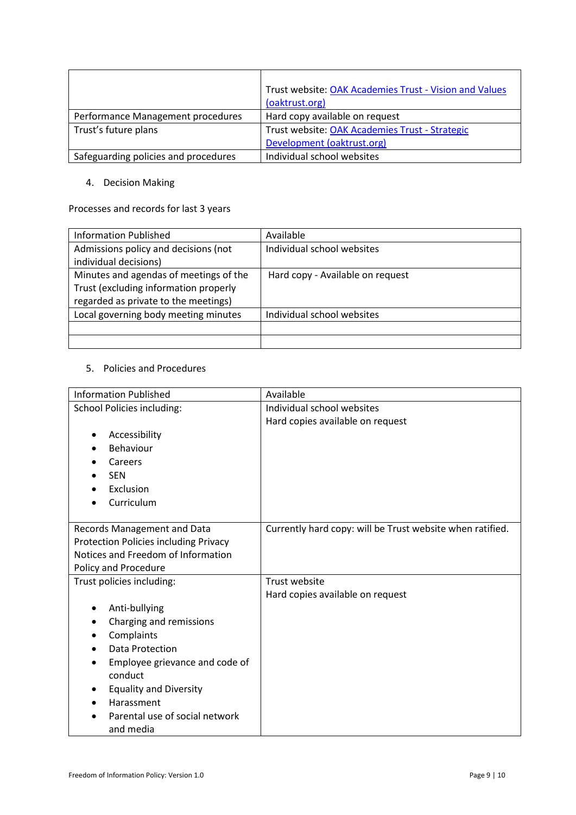|                                      | Trust website: OAK Academies Trust - Vision and Values |
|--------------------------------------|--------------------------------------------------------|
|                                      | (oaktrust.org)                                         |
| Performance Management procedures    | Hard copy available on request                         |
| Trust's future plans                 | Trust website: OAK Academies Trust - Strategic         |
|                                      | Development (oaktrust.org)                             |
| Safeguarding policies and procedures | Individual school websites                             |

#### 4. Decision Making

### Processes and records for last 3 years

| <b>Information Published</b>           | Available                        |
|----------------------------------------|----------------------------------|
| Admissions policy and decisions (not   | Individual school websites       |
| individual decisions)                  |                                  |
| Minutes and agendas of meetings of the | Hard copy - Available on request |
| Trust (excluding information properly  |                                  |
| regarded as private to the meetings)   |                                  |
| Local governing body meeting minutes   | Individual school websites       |
|                                        |                                  |
|                                        |                                  |

### 5. Policies and Procedures

| <b>Information Published</b>                 | Available                                                 |
|----------------------------------------------|-----------------------------------------------------------|
| <b>School Policies including:</b>            | Individual school websites                                |
|                                              | Hard copies available on request                          |
| Accessibility                                |                                                           |
| Behaviour                                    |                                                           |
| Careers                                      |                                                           |
| <b>SEN</b>                                   |                                                           |
| Exclusion                                    |                                                           |
| Curriculum                                   |                                                           |
|                                              |                                                           |
| Records Management and Data                  | Currently hard copy: will be Trust website when ratified. |
| <b>Protection Policies including Privacy</b> |                                                           |
| Notices and Freedom of Information           |                                                           |
| Policy and Procedure                         |                                                           |
| Trust policies including:                    | <b>Trust website</b>                                      |
|                                              | Hard copies available on request                          |
| Anti-bullying                                |                                                           |
| Charging and remissions                      |                                                           |
| Complaints                                   |                                                           |
| Data Protection                              |                                                           |
| Employee grievance and code of               |                                                           |
| conduct                                      |                                                           |
| <b>Equality and Diversity</b>                |                                                           |
| Harassment                                   |                                                           |
| Parental use of social network               |                                                           |
| and media                                    |                                                           |